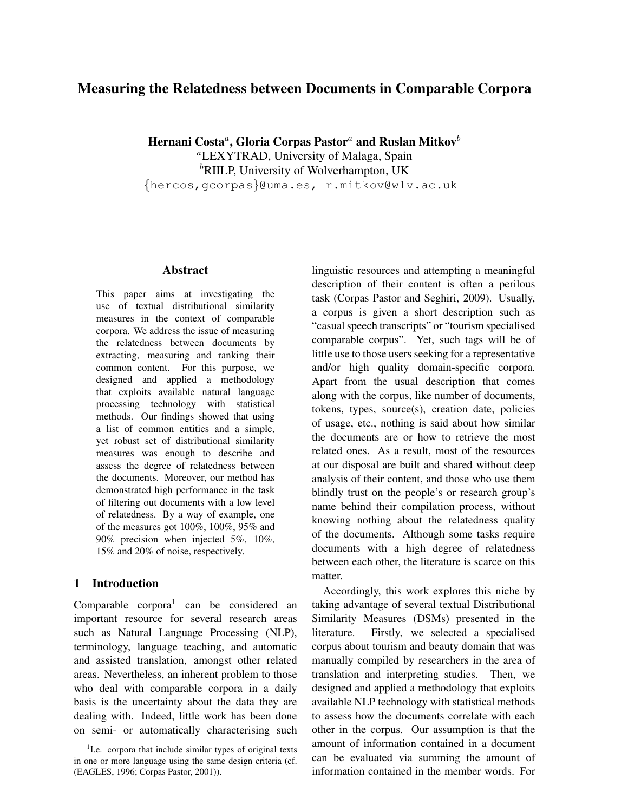# Measuring the Relatedness between Documents in Comparable Corpora

Hernani Costa ${}^a,\,$ Gloria Corpas Pastor ${}^a$  and Ruslan Mitkov ${}^b$ <sup>a</sup>LEXYTRAD, University of Malaga, Spain

 ${}^{b}$ RIILP, University of Wolverhampton, UK {hercos,gcorpas}@uma.es, r.mitkov@wlv.ac.uk

# Abstract

This paper aims at investigating the use of textual distributional similarity measures in the context of comparable corpora. We address the issue of measuring the relatedness between documents by extracting, measuring and ranking their common content. For this purpose, we designed and applied a methodology that exploits available natural language processing technology with statistical methods. Our findings showed that using a list of common entities and a simple, yet robust set of distributional similarity measures was enough to describe and assess the degree of relatedness between the documents. Moreover, our method has demonstrated high performance in the task of filtering out documents with a low level of relatedness. By a way of example, one of the measures got 100%, 100%, 95% and 90% precision when injected 5%, 10%, 15% and 20% of noise, respectively.

#### 1 Introduction

Comparable corpora<sup>1</sup> can be considered an important resource for several research areas such as Natural Language Processing (NLP), terminology, language teaching, and automatic and assisted translation, amongst other related areas. Nevertheless, an inherent problem to those who deal with comparable corpora in a daily basis is the uncertainty about the data they are dealing with. Indeed, little work has been done on semi- or automatically characterising such linguistic resources and attempting a meaningful description of their content is often a perilous task (Corpas Pastor and Seghiri, 2009). Usually, a corpus is given a short description such as "casual speech transcripts" or "tourism specialised comparable corpus". Yet, such tags will be of little use to those users seeking for a representative and/or high quality domain-specific corpora. Apart from the usual description that comes along with the corpus, like number of documents, tokens, types, source(s), creation date, policies of usage, etc., nothing is said about how similar the documents are or how to retrieve the most related ones. As a result, most of the resources at our disposal are built and shared without deep analysis of their content, and those who use them blindly trust on the people's or research group's name behind their compilation process, without knowing nothing about the relatedness quality of the documents. Although some tasks require documents with a high degree of relatedness between each other, the literature is scarce on this matter.

Accordingly, this work explores this niche by taking advantage of several textual Distributional Similarity Measures (DSMs) presented in the literature. Firstly, we selected a specialised corpus about tourism and beauty domain that was manually compiled by researchers in the area of translation and interpreting studies. Then, we designed and applied a methodology that exploits available NLP technology with statistical methods to assess how the documents correlate with each other in the corpus. Our assumption is that the amount of information contained in a document can be evaluated via summing the amount of information contained in the member words. For

<sup>&</sup>lt;sup>1</sup>I.e. corpora that include similar types of original texts in one or more language using the same design criteria (cf. (EAGLES, 1996; Corpas Pastor, 2001)).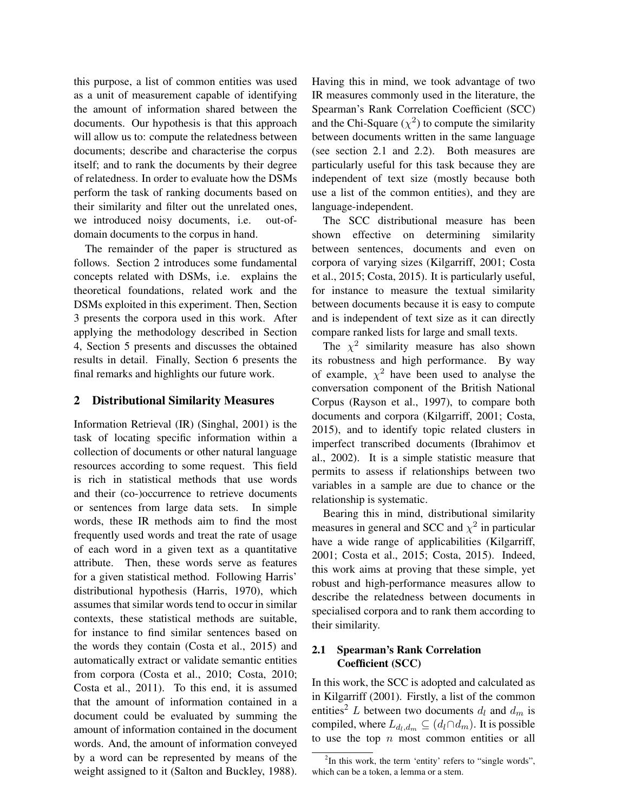this purpose, a list of common entities was used as a unit of measurement capable of identifying the amount of information shared between the documents. Our hypothesis is that this approach will allow us to: compute the relatedness between documents; describe and characterise the corpus itself; and to rank the documents by their degree of relatedness. In order to evaluate how the DSMs perform the task of ranking documents based on their similarity and filter out the unrelated ones, we introduced noisy documents, i.e. out-ofdomain documents to the corpus in hand.

The remainder of the paper is structured as follows. Section 2 introduces some fundamental concepts related with DSMs, i.e. explains the theoretical foundations, related work and the DSMs exploited in this experiment. Then, Section 3 presents the corpora used in this work. After applying the methodology described in Section 4, Section 5 presents and discusses the obtained results in detail. Finally, Section 6 presents the final remarks and highlights our future work.

#### 2 Distributional Similarity Measures

Information Retrieval (IR) (Singhal, 2001) is the task of locating specific information within a collection of documents or other natural language resources according to some request. This field is rich in statistical methods that use words and their (co-)occurrence to retrieve documents or sentences from large data sets. In simple words, these IR methods aim to find the most frequently used words and treat the rate of usage of each word in a given text as a quantitative attribute. Then, these words serve as features for a given statistical method. Following Harris' distributional hypothesis (Harris, 1970), which assumes that similar words tend to occur in similar contexts, these statistical methods are suitable, for instance to find similar sentences based on the words they contain (Costa et al., 2015) and automatically extract or validate semantic entities from corpora (Costa et al., 2010; Costa, 2010; Costa et al., 2011). To this end, it is assumed that the amount of information contained in a document could be evaluated by summing the amount of information contained in the document words. And, the amount of information conveyed by a word can be represented by means of the weight assigned to it (Salton and Buckley, 1988).

Having this in mind, we took advantage of two IR measures commonly used in the literature, the Spearman's Rank Correlation Coefficient (SCC) and the Chi-Square  $(\chi^2)$  to compute the similarity between documents written in the same language (see section 2.1 and 2.2). Both measures are particularly useful for this task because they are independent of text size (mostly because both use a list of the common entities), and they are language-independent.

The SCC distributional measure has been shown effective on determining similarity between sentences, documents and even on corpora of varying sizes (Kilgarriff, 2001; Costa et al., 2015; Costa, 2015). It is particularly useful, for instance to measure the textual similarity between documents because it is easy to compute and is independent of text size as it can directly compare ranked lists for large and small texts.

The  $\chi^2$  similarity measure has also shown its robustness and high performance. By way of example,  $\chi^2$  have been used to analyse the conversation component of the British National Corpus (Rayson et al., 1997), to compare both documents and corpora (Kilgarriff, 2001; Costa, 2015), and to identify topic related clusters in imperfect transcribed documents (Ibrahimov et al., 2002). It is a simple statistic measure that permits to assess if relationships between two variables in a sample are due to chance or the relationship is systematic.

Bearing this in mind, distributional similarity measures in general and SCC and  $\chi^2$  in particular have a wide range of applicabilities (Kilgarriff, 2001; Costa et al., 2015; Costa, 2015). Indeed, this work aims at proving that these simple, yet robust and high-performance measures allow to describe the relatedness between documents in specialised corpora and to rank them according to their similarity.

### 2.1 Spearman's Rank Correlation Coefficient (SCC)

In this work, the SCC is adopted and calculated as in Kilgarriff (2001). Firstly, a list of the common entities<sup>2</sup> L between two documents  $d_l$  and  $d_m$  is compiled, where  $L_{d_l,d_m} \subseteq (d_l \cap d_m)$ . It is possible to use the top  $n$  most common entities or all

<sup>&</sup>lt;sup>2</sup>In this work, the term 'entity' refers to "single words", which can be a token, a lemma or a stem.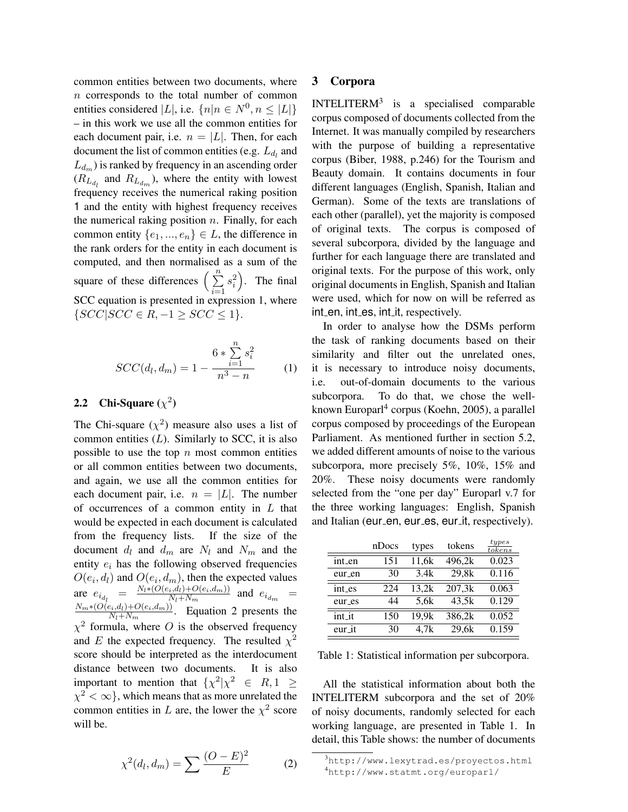common entities between two documents, where n corresponds to the total number of common entities considered |L|, i.e.  $\{n|n \in N^0, n \leq |L|\}$ – in this work we use all the common entities for each document pair, i.e.  $n = |L|$ . Then, for each document the list of common entities (e.g.  $L_{d_l}$  and  $L_{d_m}$ ) is ranked by frequency in an ascending order  $(R_{L_{d_l}}$  and  $R_{L_{d_m}}$ ), where the entity with lowest frequency receives the numerical raking position 1 and the entity with highest frequency receives the numerical raking position  $n$ . Finally, for each common entity  $\{e_1, ..., e_n\} \in L$ , the difference in the rank orders for the entity in each document is computed, and then normalised as a sum of the square of these differences  $\left(\sum_{n=1}^{\infty}$  $i=1$  $s_i^2$ ). The final SCC equation is presented in expression 1, where  $\{SCC|SCC \in R, -1 \geq SCC \leq 1\}.$ 

$$
SCC(d_l, d_m) = 1 - \frac{6 * \sum_{i=1}^{n} s_i^2}{n^3 - n}
$$
 (1)

## 2.2 Chi-Square  $(\chi^2)$

The Chi-square  $(\chi^2)$  measure also uses a list of common entities  $(L)$ . Similarly to SCC, it is also possible to use the top  $n$  most common entities or all common entities between two documents, and again, we use all the common entities for each document pair, i.e.  $n = |L|$ . The number of occurrences of a common entity in  $L$  that would be expected in each document is calculated from the frequency lists. If the size of the document  $d_l$  and  $d_m$  are  $N_l$  and  $N_m$  and the entity  $e_i$  has the following observed frequencies  $O(e_i, d_l)$  and  $O(e_i, d_m)$ , then the expected values are  $e_{i_{d_l}} = \frac{N_l * (O(e_i, d_l) + O(e_i, d_m))}{N_l + N_m}$  $\frac{N_i(a_l)+O(e_i,a_m))}{N_l+N_m}$  and  $e_{i_{dm}}$  =  $N_m*(O(e_i,d_l)+O(e_i,d_m))$  $\frac{E_i, a_i + O(e_i, a_m)}{N_l + N_m}$ . Equation 2 presents the  $\chi^2$  formula, where O is the observed frequency and E the expected frequency. The resulted  $\chi^2$ score should be interpreted as the interdocument distance between two documents. It is also important to mention that  $\{\chi^2|\chi^2 \in R, 1 \geq 1\}$  $\chi^2 < \infty$ }, which means that as more unrelated the common entities in L are, the lower the  $\chi^2$  score will be.

#### $\chi^2(d_l, d_m) = \sum \frac{(O-E)^2}{E}$ E (2)

#### 3 Corpora

INTELITERM $3$  is a specialised comparable corpus composed of documents collected from the Internet. It was manually compiled by researchers with the purpose of building a representative corpus (Biber, 1988, p.246) for the Tourism and Beauty domain. It contains documents in four different languages (English, Spanish, Italian and German). Some of the texts are translations of each other (parallel), yet the majority is composed of original texts. The corpus is composed of several subcorpora, divided by the language and further for each language there are translated and original texts. For the purpose of this work, only original documents in English, Spanish and Italian were used, which for now on will be referred as int en, int es, int it, respectively.

In order to analyse how the DSMs perform the task of ranking documents based on their similarity and filter out the unrelated ones, it is necessary to introduce noisy documents, i.e. out-of-domain documents to the various subcorpora. To do that, we chose the wellknown Europarl<sup>4</sup> corpus (Koehn, 2005), a parallel corpus composed by proceedings of the European Parliament. As mentioned further in section 5.2, we added different amounts of noise to the various subcorpora, more precisely 5%, 10%, 15% and 20%. These noisy documents were randomly selected from the "one per day" Europarl v.7 for the three working languages: English, Spanish and Italian (eur\_en, eur\_es, eur\_it, respectively).

|        | nDocs | types | tokens | types<br>to kens |
|--------|-------|-------|--------|------------------|
| int_en | 151   | 11,6k | 496,2k | 0.023            |
| eur_en | 30    | 3.4k  | 29,8k  | 0.116            |
| int_es | 224   | 13,2k | 207,3k | 0.063            |
| eur_es | 44    | 5,6k  | 43,5k  | 0.129            |
| int_it | 150   | 19,9k | 386,2k | 0.052            |
| eur_it | 30    | 4,7k  | 29,6k  | 0.159            |

Table 1: Statistical information per subcorpora.

All the statistical information about both the INTELITERM subcorpora and the set of 20% of noisy documents, randomly selected for each working language, are presented in Table 1. In detail, this Table shows: the number of documents

<sup>3</sup>http://www.lexytrad.es/proyectos.html <sup>4</sup>http://www.statmt.org/europarl/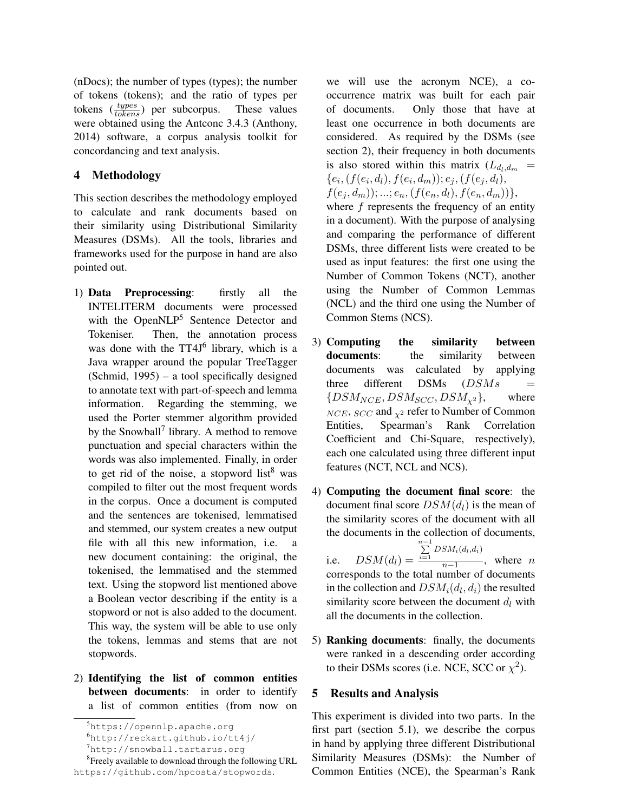(nDocs); the number of types (types); the number of tokens (tokens); and the ratio of types per tokens  $(\frac{types}{tokens})$  per subcorpus. These values were obtained using the Antconc 3.4.3 (Anthony, 2014) software, a corpus analysis toolkit for concordancing and text analysis.

## 4 Methodology

This section describes the methodology employed to calculate and rank documents based on their similarity using Distributional Similarity Measures (DSMs). All the tools, libraries and frameworks used for the purpose in hand are also pointed out.

- 1) Data Preprocessing: firstly all the INTELITERM documents were processed with the OpenNLP<sup>5</sup> Sentence Detector and Tokeniser. Then, the annotation process was done with the TT4J<sup>6</sup> library, which is a Java wrapper around the popular TreeTagger (Schmid, 1995) – a tool specifically designed to annotate text with part-of-speech and lemma information. Regarding the stemming, we used the Porter stemmer algorithm provided by the Snowball<sup>7</sup> library. A method to remove punctuation and special characters within the words was also implemented. Finally, in order to get rid of the noise, a stopword list<sup>8</sup> was compiled to filter out the most frequent words in the corpus. Once a document is computed and the sentences are tokenised, lemmatised and stemmed, our system creates a new output file with all this new information, i.e. a new document containing: the original, the tokenised, the lemmatised and the stemmed text. Using the stopword list mentioned above a Boolean vector describing if the entity is a stopword or not is also added to the document. This way, the system will be able to use only the tokens, lemmas and stems that are not stopwords.
- 2) Identifying the list of common entities between documents: in order to identify a list of common entities (from now on

we will use the acronym NCE), a cooccurrence matrix was built for each pair of documents. Only those that have at least one occurrence in both documents are considered. As required by the DSMs (see section 2), their frequency in both documents is also stored within this matrix  $(L_{d_l,d_m})$  ${e_i, (f(e_i, d_l), f(e_i, d_m)); e_j, (f(e_j, d_l))}$  $f(e_i, d_m)); \ldots; e_n, (f(e_n, d_l), f(e_n, d_m))\},\$ where  $f$  represents the frequency of an entity in a document). With the purpose of analysing and comparing the performance of different DSMs, three different lists were created to be used as input features: the first one using the

Number of Common Tokens (NCT), another using the Number of Common Lemmas (NCL) and the third one using the Number of Common Stems (NCS).

- 3) Computing the similarity between documents: the similarity between documents was calculated by applying three different  $DSMs$  ( $DSMs$  =  ${DSM_{NCE}, DSM_{SCC}, DSM_{\chi^2}}$ , where  $NCE$ ,  $SCC$  and  $\chi^2$  refer to Number of Common Entities, Spearman's Rank Correlation Coefficient and Chi-Square, respectively), each one calculated using three different input features (NCT, NCL and NCS).
- 4) Computing the document final score: the document final score  $DSM(d_l)$  is the mean of the similarity scores of the document with all the documents in the collection of documents,

i.e.  $DSM(d_l) =$  $\sum_{i=1}^{n-1}$  DSM<sub>i</sub>(d<sub>l</sub>,d<sub>i</sub>)  $\frac{n-1}{n-1}$ , where *n* corresponds to the total number of documents in the collection and  $DSM_i(d_l, d_i)$  the resulted similarity score between the document  $d_l$  with all the documents in the collection.

5) Ranking documents: finally, the documents were ranked in a descending order according to their DSMs scores (i.e. NCE, SCC or  $\chi^2$ ).

#### 5 Results and Analysis

This experiment is divided into two parts. In the first part (section 5.1), we describe the corpus in hand by applying three different Distributional Similarity Measures (DSMs): the Number of Common Entities (NCE), the Spearman's Rank

<sup>5</sup>https://opennlp.apache.org

<sup>6</sup>http://reckart.github.io/tt4j/

<sup>7</sup>http://snowball.tartarus.org

<sup>&</sup>lt;sup>8</sup> Freely available to download through the following URL https://github.com/hpcosta/stopwords.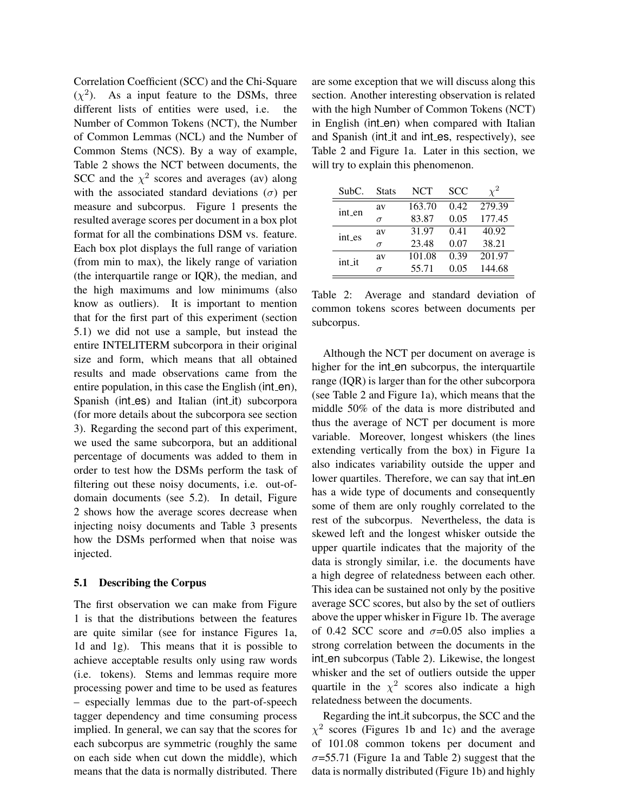Correlation Coefficient (SCC) and the Chi-Square  $(\chi^2)$ . As a input feature to the DSMs, three different lists of entities were used, i.e. the Number of Common Tokens (NCT), the Number of Common Lemmas (NCL) and the Number of Common Stems (NCS). By a way of example, Table 2 shows the NCT between documents, the SCC and the  $\chi^2$  scores and averages (av) along with the associated standard deviations ( $\sigma$ ) per measure and subcorpus. Figure 1 presents the resulted average scores per document in a box plot format for all the combinations DSM vs. feature. Each box plot displays the full range of variation (from min to max), the likely range of variation (the interquartile range or IQR), the median, and the high maximums and low minimums (also know as outliers). It is important to mention that for the first part of this experiment (section 5.1) we did not use a sample, but instead the entire INTELITERM subcorpora in their original size and form, which means that all obtained results and made observations came from the entire population, in this case the English (int\_en), Spanish (int\_es) and Italian (int\_it) subcorpora (for more details about the subcorpora see section 3). Regarding the second part of this experiment, we used the same subcorpora, but an additional percentage of documents was added to them in order to test how the DSMs perform the task of filtering out these noisy documents, i.e. out-ofdomain documents (see 5.2). In detail, Figure 2 shows how the average scores decrease when injecting noisy documents and Table 3 presents how the DSMs performed when that noise was injected.

#### 5.1 Describing the Corpus

The first observation we can make from Figure 1 is that the distributions between the features are quite similar (see for instance Figures 1a, 1d and 1g). This means that it is possible to achieve acceptable results only using raw words (i.e. tokens). Stems and lemmas require more processing power and time to be used as features – especially lemmas due to the part-of-speech tagger dependency and time consuming process implied. In general, we can say that the scores for each subcorpus are symmetric (roughly the same on each side when cut down the middle), which means that the data is normally distributed. There

are some exception that we will discuss along this section. Another interesting observation is related with the high Number of Common Tokens (NCT) in English (int\_en) when compared with Italian and Spanish (int it and int es, respectively), see Table 2 and Figure 1a. Later in this section, we will try to explain this phenomenon.

| SubC.  | <b>Stats</b> | <b>NCT</b> | SCC                  |        |
|--------|--------------|------------|----------------------|--------|
| int_en | av           | 163.70     | 0.42                 | 279.39 |
|        | $\sigma$     | 83.87      | 0.05                 | 177.45 |
| int_es | av           | 31.97      | 0.41                 | 40.92  |
|        | $\sigma$     | 23.48      | 0.07<br>0.39<br>0.05 | 38.21  |
| int_it | av           | 101.08     |                      | 201.97 |
|        | $\sigma$     | 55.71      |                      | 144.68 |

Table 2: Average and standard deviation of common tokens scores between documents per subcorpus.

Although the NCT per document on average is higher for the int\_en subcorpus, the interquartile range (IQR) is larger than for the other subcorpora (see Table 2 and Figure 1a), which means that the middle 50% of the data is more distributed and thus the average of NCT per document is more variable. Moreover, longest whiskers (the lines extending vertically from the box) in Figure 1a also indicates variability outside the upper and lower quartiles. Therefore, we can say that int\_en has a wide type of documents and consequently some of them are only roughly correlated to the rest of the subcorpus. Nevertheless, the data is skewed left and the longest whisker outside the upper quartile indicates that the majority of the data is strongly similar, i.e. the documents have a high degree of relatedness between each other. This idea can be sustained not only by the positive average SCC scores, but also by the set of outliers above the upper whisker in Figure 1b. The average of 0.42 SCC score and  $\sigma$ =0.05 also implies a strong correlation between the documents in the int en subcorpus (Table 2). Likewise, the longest whisker and the set of outliers outside the upper quartile in the  $\chi^2$  scores also indicate a high relatedness between the documents.

Regarding the int it subcorpus, the SCC and the  $\chi^2$  scores (Figures 1b and 1c) and the average of 101.08 common tokens per document and  $\sigma$ =55.71 (Figure 1a and Table 2) suggest that the data is normally distributed (Figure 1b) and highly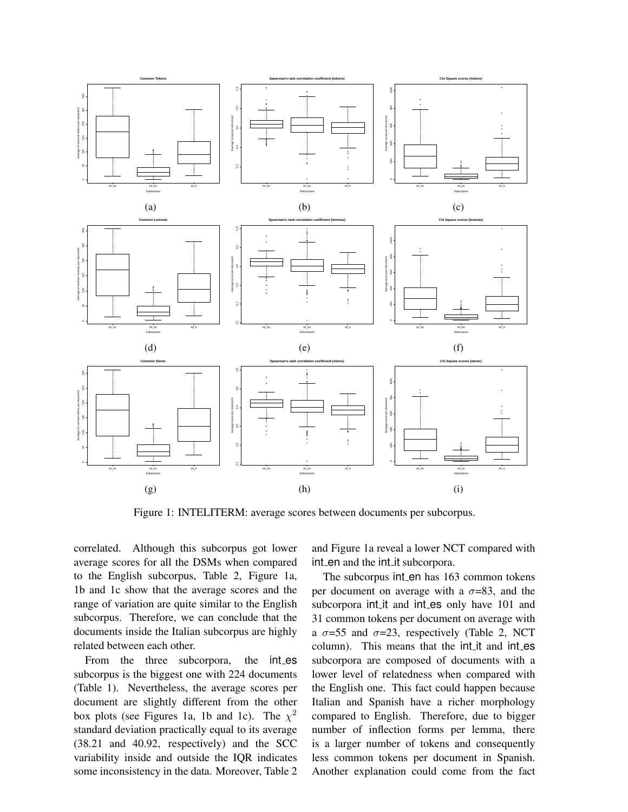

Figure 1: INTELITERM: average scores between documents per subcorpus.

correlated. Although this subcorpus got lower average scores for all the DSMs when compared to the English subcorpus, Table 2, Figure 1a, 1b and 1c show that the average scores and the range of variation are quite similar to the English subcorpus. Therefore, we can conclude that the documents inside the Italian subcorpus are highly related between each other.

From the three subcorpora, the int\_es subcorpus is the biggest one with 224 documents (Table 1). Nevertheless, the average scores per document are slightly different from the other box plots (see Figures 1a, 1b and 1c). The  $\chi^2$ standard deviation practically equal to its average (38.21 and 40.92, respectively) and the SCC variability inside and outside the IQR indicates some inconsistency in the data. Moreover, Table 2

and Figure 1a reveal a lower NCT compared with int en and the int it subcorpora.

The subcorpus int en has 163 common tokens per document on average with a  $\sigma$ =83, and the subcorpora int\_it and int\_es only have 101 and 31 common tokens per document on average with a  $\sigma$ =55 and  $\sigma$ =23, respectively (Table 2, NCT column). This means that the int it and int es subcorpora are composed of documents with a lower level of relatedness when compared with the English one. This fact could happen because Italian and Spanish have a richer morphology compared to English. Therefore, due to bigger number of inflection forms per lemma, there is a larger number of tokens and consequently less common tokens per document in Spanish. Another explanation could come from the fact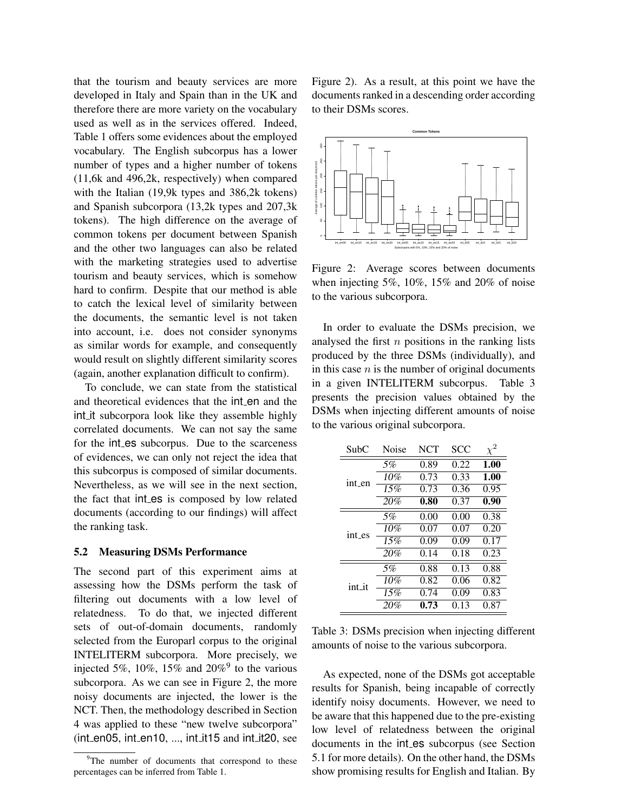that the tourism and beauty services are more developed in Italy and Spain than in the UK and therefore there are more variety on the vocabulary used as well as in the services offered. Indeed, Table 1 offers some evidences about the employed vocabulary. The English subcorpus has a lower number of types and a higher number of tokens (11,6k and 496,2k, respectively) when compared with the Italian (19,9k types and 386,2k tokens) and Spanish subcorpora (13,2k types and 207,3k tokens). The high difference on the average of common tokens per document between Spanish and the other two languages can also be related with the marketing strategies used to advertise tourism and beauty services, which is somehow hard to confirm. Despite that our method is able to catch the lexical level of similarity between the documents, the semantic level is not taken into account, i.e. does not consider synonyms as similar words for example, and consequently would result on slightly different similarity scores (again, another explanation difficult to confirm).

To conclude, we can state from the statistical and theoretical evidences that the int en and the int it subcorpora look like they assemble highly correlated documents. We can not say the same for the int es subcorpus. Due to the scarceness of evidences, we can only not reject the idea that this subcorpus is composed of similar documents. Nevertheless, as we will see in the next section, the fact that int\_es is composed by low related documents (according to our findings) will affect the ranking task.

#### 5.2 Measuring DSMs Performance

The second part of this experiment aims at assessing how the DSMs perform the task of filtering out documents with a low level of relatedness. To do that, we injected different sets of out-of-domain documents, randomly selected from the Europarl corpus to the original INTELITERM subcorpora. More precisely, we injected 5%, 10%, 15% and  $20\%$ <sup>9</sup> to the various subcorpora. As we can see in Figure 2, the more noisy documents are injected, the lower is the NCT. Then, the methodology described in Section 4 was applied to these "new twelve subcorpora"  $(int_en05, int_en10, ..., int-it15 and int-it20, see$ 

Figure 2). As a result, at this point we have the documents ranked in a descending order according to their DSMs scores.



Figure 2: Average scores between documents when injecting 5%, 10%, 15% and 20% of noise to the various subcorpora.

In order to evaluate the DSMs precision, we analysed the first  $n$  positions in the ranking lists produced by the three DSMs (individually), and in this case  $n$  is the number of original documents in a given INTELITERM subcorpus. Table 3 presents the precision values obtained by the DSMs when injecting different amounts of noise to the various original subcorpora.

| SubC   | Noise | <b>NCT</b> | SCC  | $\chi^2$ |
|--------|-------|------------|------|----------|
| int_en | 5%    | 0.89       | 0.22 | 1.00     |
|        | 10%   | 0.73       | 0.33 | 1.00     |
|        | 15%   | 0.73       | 0.36 | 0.95     |
|        | 20%   | 0.80       | 0.37 | 0.90     |
|        | 5%    | 0.00       | 0.00 | 0.38     |
| int_es | 10%   | 0.07       | 0.07 | 0.20     |
|        | 15%   | 0.09       | 0.09 | 0.17     |
|        | 20%   | 0.14       | 0.18 | 0.23     |
| int it | 5%    | 0.88       | 0.13 | 0.88     |
|        | 10%   | 0.82       | 0.06 | 0.82     |
|        | 15%   | 0.74       | 0.09 | 0.83     |
|        | 20%   | 0.73       | 0.13 | 0.87     |

Table 3: DSMs precision when injecting different amounts of noise to the various subcorpora.

As expected, none of the DSMs got acceptable results for Spanish, being incapable of correctly identify noisy documents. However, we need to be aware that this happened due to the pre-existing low level of relatedness between the original documents in the int es subcorpus (see Section 5.1 for more details). On the other hand, the DSMs show promising results for English and Italian. By

<sup>&</sup>lt;sup>9</sup>The number of documents that correspond to these percentages can be inferred from Table 1.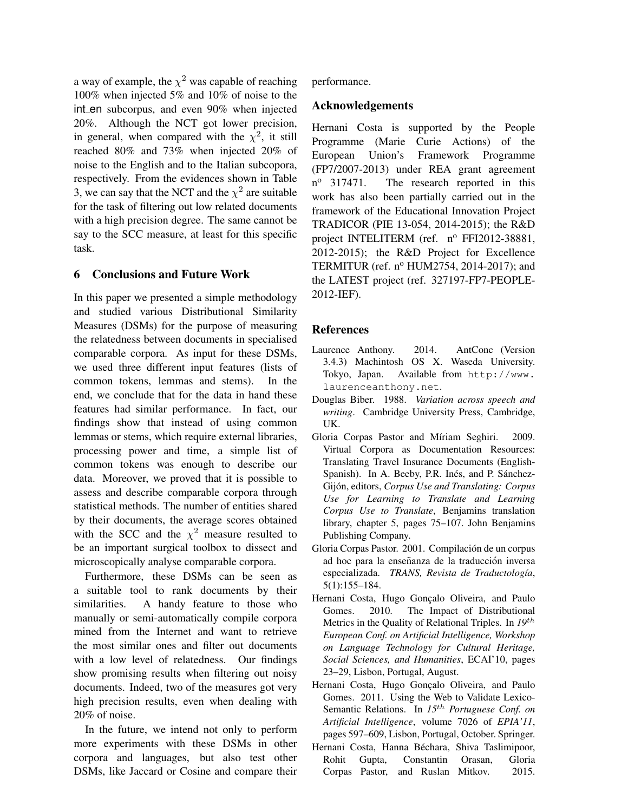a way of example, the  $\chi^2$  was capable of reaching 100% when injected 5% and 10% of noise to the int en subcorpus, and even 90% when injected 20%. Although the NCT got lower precision, in general, when compared with the  $\chi^2$ , it still reached 80% and 73% when injected 20% of noise to the English and to the Italian subcopora, respectively. From the evidences shown in Table 3, we can say that the NCT and the  $\chi^2$  are suitable for the task of filtering out low related documents with a high precision degree. The same cannot be say to the SCC measure, at least for this specific task.

## 6 Conclusions and Future Work

In this paper we presented a simple methodology and studied various Distributional Similarity Measures (DSMs) for the purpose of measuring the relatedness between documents in specialised comparable corpora. As input for these DSMs, we used three different input features (lists of common tokens, lemmas and stems). In the end, we conclude that for the data in hand these features had similar performance. In fact, our findings show that instead of using common lemmas or stems, which require external libraries, processing power and time, a simple list of common tokens was enough to describe our data. Moreover, we proved that it is possible to assess and describe comparable corpora through statistical methods. The number of entities shared by their documents, the average scores obtained with the SCC and the  $\chi^2$  measure resulted to be an important surgical toolbox to dissect and microscopically analyse comparable corpora.

Furthermore, these DSMs can be seen as a suitable tool to rank documents by their similarities. A handy feature to those who manually or semi-automatically compile corpora mined from the Internet and want to retrieve the most similar ones and filter out documents with a low level of relatedness. Our findings show promising results when filtering out noisy documents. Indeed, two of the measures got very high precision results, even when dealing with 20% of noise.

In the future, we intend not only to perform more experiments with these DSMs in other corpora and languages, but also test other DSMs, like Jaccard or Cosine and compare their performance.

### Acknowledgements

Hernani Costa is supported by the People Programme (Marie Curie Actions) of the European Union's Framework Programme (FP7/2007-2013) under REA grant agreement  $n^{\circ}$  317471. The research reported in this work has also been partially carried out in the framework of the Educational Innovation Project TRADICOR (PIE 13-054, 2014-2015); the R&D project INTELITERM (ref. nº FFI2012-38881, 2012-2015); the R&D Project for Excellence TERMITUR (ref. nº HUM2754, 2014-2017); and the LATEST project (ref. 327197-FP7-PEOPLE-2012-IEF).

## References

- Laurence Anthony. 2014. AntConc (Version 3.4.3) Machintosh OS X. Waseda University. Tokyo, Japan. Available from http://www. laurenceanthony.net.
- Douglas Biber. 1988. *Variation across speech and writing*. Cambridge University Press, Cambridge, UK.
- Gloria Corpas Pastor and Míriam Seghiri. 2009. Virtual Corpora as Documentation Resources: Translating Travel Insurance Documents (English-Spanish). In A. Beeby, P.R. Inés, and P. Sánchez-Gijón, editors, *Corpus Use and Translating: Corpus Use for Learning to Translate and Learning Corpus Use to Translate*, Benjamins translation library, chapter 5, pages 75–107. John Benjamins Publishing Company.
- Gloria Corpas Pastor. 2001. Compilación de un corpus ad hoc para la enseñanza de la traducción inversa especializada. *TRANS, Revista de Traductología*, 5(1):155–184.
- Hernani Costa, Hugo Gonçalo Oliveira, and Paulo Gomes. 2010. The Impact of Distributional Metrics in the Quality of Relational Triples. In *19*th *European Conf. on Artificial Intelligence, Workshop on Language Technology for Cultural Heritage, Social Sciences, and Humanities*, ECAI'10, pages 23–29, Lisbon, Portugal, August.
- Hernani Costa, Hugo Goncalo Oliveira, and Paulo Gomes. 2011. Using the Web to Validate Lexico-Semantic Relations. In *15*th *Portuguese Conf. on Artificial Intelligence*, volume 7026 of *EPIA'11*, pages 597–609, Lisbon, Portugal, October. Springer.
- Hernani Costa, Hanna Béchara, Shiva Taslimipoor, Rohit Gupta, Constantin Orasan, Gloria Corpas Pastor, and Ruslan Mitkov. 2015.